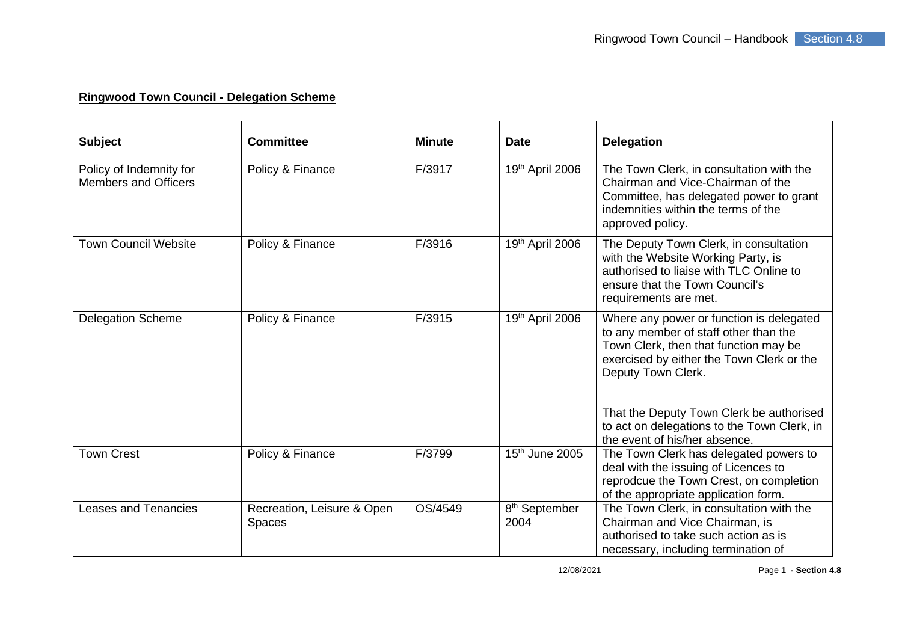## **Ringwood Town Council - Delegation Scheme**

| <b>Subject</b>                                         | <b>Committee</b>                     | <b>Minute</b> | <b>Date</b>                       | <b>Delegation</b>                                                                                                                                                                             |
|--------------------------------------------------------|--------------------------------------|---------------|-----------------------------------|-----------------------------------------------------------------------------------------------------------------------------------------------------------------------------------------------|
| Policy of Indemnity for<br><b>Members and Officers</b> | Policy & Finance                     | F/3917        | 19th April 2006                   | The Town Clerk, in consultation with the<br>Chairman and Vice-Chairman of the<br>Committee, has delegated power to grant<br>indemnities within the terms of the<br>approved policy.           |
| <b>Town Council Website</b>                            | Policy & Finance                     | F/3916        | 19th April 2006                   | The Deputy Town Clerk, in consultation<br>with the Website Working Party, is<br>authorised to liaise with TLC Online to<br>ensure that the Town Council's<br>requirements are met.            |
| <b>Delegation Scheme</b>                               | Policy & Finance                     | F/3915        | 19th April 2006                   | Where any power or function is delegated<br>to any member of staff other than the<br>Town Clerk, then that function may be<br>exercised by either the Town Clerk or the<br>Deputy Town Clerk. |
|                                                        |                                      |               |                                   | That the Deputy Town Clerk be authorised<br>to act on delegations to the Town Clerk, in<br>the event of his/her absence.                                                                      |
| <b>Town Crest</b>                                      | Policy & Finance                     | F/3799        | 15 <sup>th</sup> June 2005        | The Town Clerk has delegated powers to<br>deal with the issuing of Licences to<br>reprodcue the Town Crest, on completion<br>of the appropriate application form.                             |
| <b>Leases and Tenancies</b>                            | Recreation, Leisure & Open<br>Spaces | OS/4549       | 8 <sup>th</sup> September<br>2004 | The Town Clerk, in consultation with the<br>Chairman and Vice Chairman, is<br>authorised to take such action as is<br>necessary, including termination of                                     |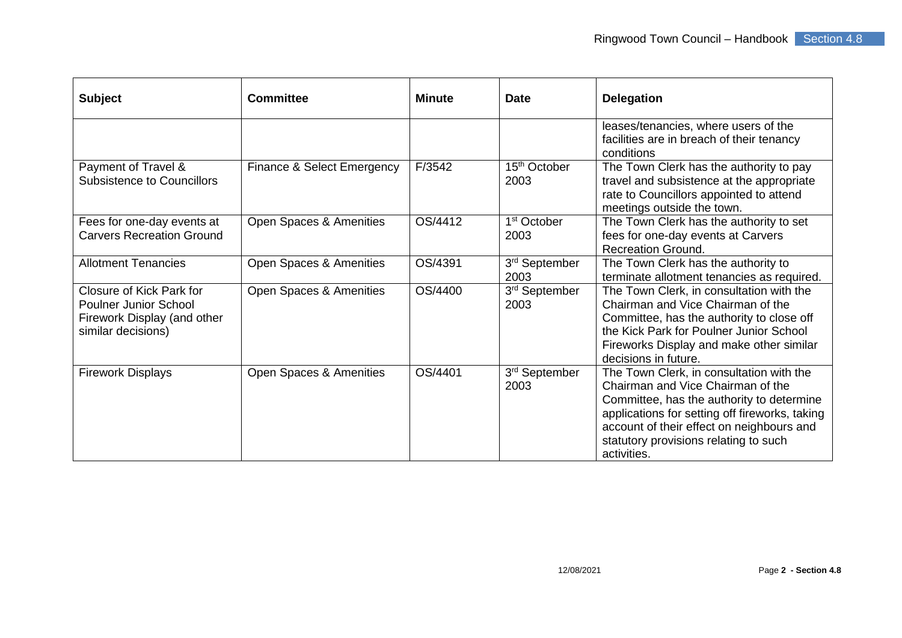| <b>Subject</b>                                                                                                | <b>Committee</b>           | <b>Minute</b> | <b>Date</b>                      | <b>Delegation</b>                                                                                                                                                                                                                                                                 |
|---------------------------------------------------------------------------------------------------------------|----------------------------|---------------|----------------------------------|-----------------------------------------------------------------------------------------------------------------------------------------------------------------------------------------------------------------------------------------------------------------------------------|
|                                                                                                               |                            |               |                                  | leases/tenancies, where users of the<br>facilities are in breach of their tenancy<br>conditions                                                                                                                                                                                   |
| Payment of Travel &<br><b>Subsistence to Councillors</b>                                                      | Finance & Select Emergency | F/3542        | 15 <sup>th</sup> October<br>2003 | The Town Clerk has the authority to pay<br>travel and subsistence at the appropriate<br>rate to Councillors appointed to attend<br>meetings outside the town.                                                                                                                     |
| Fees for one-day events at<br><b>Carvers Recreation Ground</b>                                                | Open Spaces & Amenities    | OS/4412       | 1 <sup>st</sup> October<br>2003  | The Town Clerk has the authority to set<br>fees for one-day events at Carvers<br><b>Recreation Ground.</b>                                                                                                                                                                        |
| <b>Allotment Tenancies</b>                                                                                    | Open Spaces & Amenities    | OS/4391       | 3rd September<br>2003            | The Town Clerk has the authority to<br>terminate allotment tenancies as required.                                                                                                                                                                                                 |
| Closure of Kick Park for<br><b>Poulner Junior School</b><br>Firework Display (and other<br>similar decisions) | Open Spaces & Amenities    | OS/4400       | 3rd September<br>2003            | The Town Clerk, in consultation with the<br>Chairman and Vice Chairman of the<br>Committee, has the authority to close off<br>the Kick Park for Poulner Junior School<br>Fireworks Display and make other similar<br>decisions in future.                                         |
| <b>Firework Displays</b>                                                                                      | Open Spaces & Amenities    | OS/4401       | 3rd September<br>2003            | The Town Clerk, in consultation with the<br>Chairman and Vice Chairman of the<br>Committee, has the authority to determine<br>applications for setting off fireworks, taking<br>account of their effect on neighbours and<br>statutory provisions relating to such<br>activities. |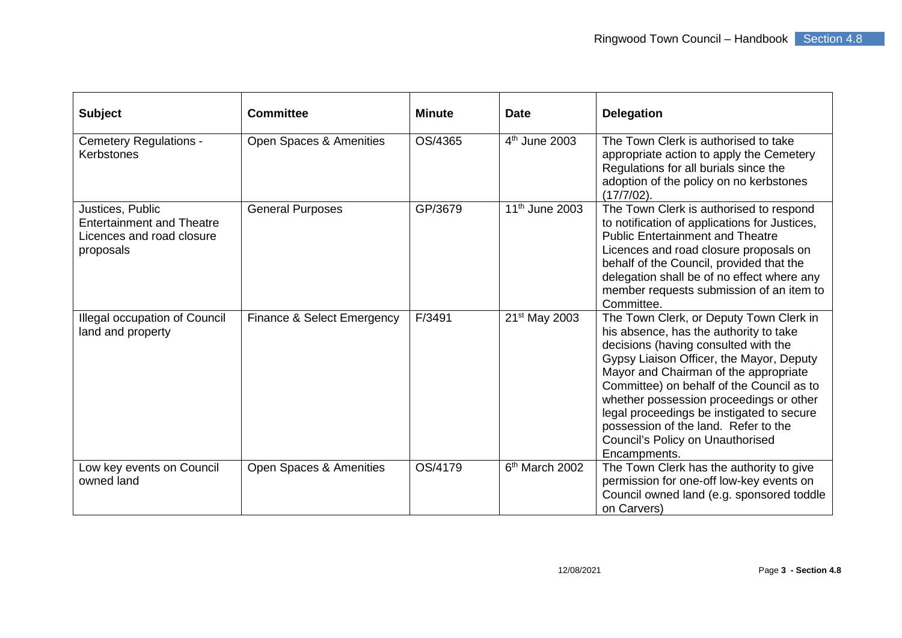| <b>Subject</b>                                                                                 | <b>Committee</b>           | <b>Minute</b> | <b>Date</b>                | <b>Delegation</b>                                                                                                                                                                                                                                                                                                                                                                                                                               |
|------------------------------------------------------------------------------------------------|----------------------------|---------------|----------------------------|-------------------------------------------------------------------------------------------------------------------------------------------------------------------------------------------------------------------------------------------------------------------------------------------------------------------------------------------------------------------------------------------------------------------------------------------------|
| <b>Cemetery Regulations -</b><br><b>Kerbstones</b>                                             | Open Spaces & Amenities    | OS/4365       | 4 <sup>th</sup> June 2003  | The Town Clerk is authorised to take<br>appropriate action to apply the Cemetery<br>Regulations for all burials since the<br>adoption of the policy on no kerbstones<br>$(17/7/02)$ .                                                                                                                                                                                                                                                           |
| Justices, Public<br><b>Entertainment and Theatre</b><br>Licences and road closure<br>proposals | <b>General Purposes</b>    | GP/3679       | 11 <sup>th</sup> June 2003 | The Town Clerk is authorised to respond<br>to notification of applications for Justices,<br><b>Public Entertainment and Theatre</b><br>Licences and road closure proposals on<br>behalf of the Council, provided that the<br>delegation shall be of no effect where any<br>member requests submission of an item to<br>Committee.                                                                                                               |
| Illegal occupation of Council<br>land and property                                             | Finance & Select Emergency | F/3491        | 21 <sup>st</sup> May 2003  | The Town Clerk, or Deputy Town Clerk in<br>his absence, has the authority to take<br>decisions (having consulted with the<br>Gypsy Liaison Officer, the Mayor, Deputy<br>Mayor and Chairman of the appropriate<br>Committee) on behalf of the Council as to<br>whether possession proceedings or other<br>legal proceedings be instigated to secure<br>possession of the land. Refer to the<br>Council's Policy on Unauthorised<br>Encampments. |
| Low key events on Council<br>owned land                                                        | Open Spaces & Amenities    | OS/4179       | $6th$ March 2002           | The Town Clerk has the authority to give<br>permission for one-off low-key events on<br>Council owned land (e.g. sponsored toddle<br>on Carvers)                                                                                                                                                                                                                                                                                                |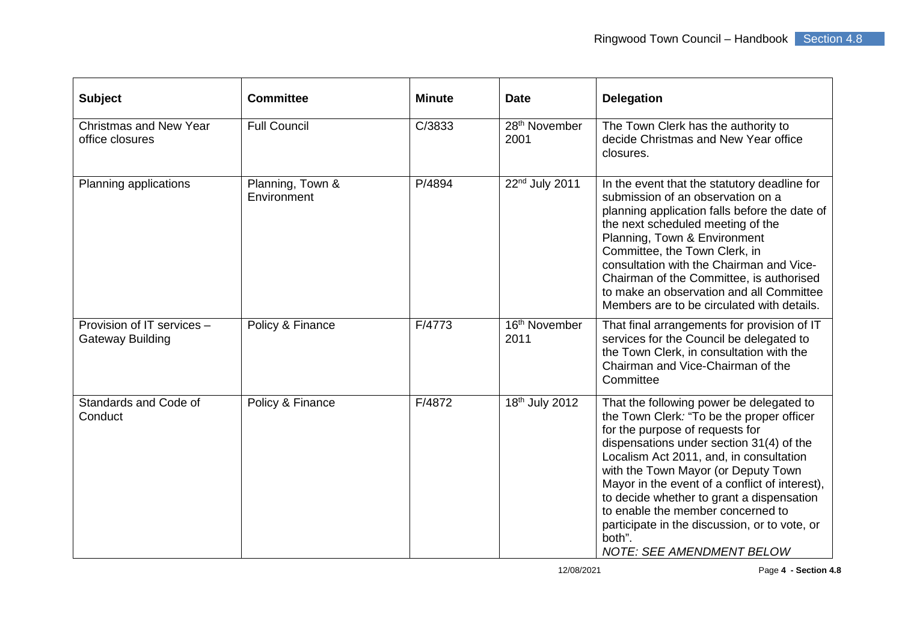| <b>Subject</b>                                        | <b>Committee</b>                | <b>Minute</b> | <b>Date</b>                       | <b>Delegation</b>                                                                                                                                                                                                                                                                                                                                                                                                                                                                         |
|-------------------------------------------------------|---------------------------------|---------------|-----------------------------------|-------------------------------------------------------------------------------------------------------------------------------------------------------------------------------------------------------------------------------------------------------------------------------------------------------------------------------------------------------------------------------------------------------------------------------------------------------------------------------------------|
| <b>Christmas and New Year</b><br>office closures      | <b>Full Council</b>             | C/3833        | 28 <sup>th</sup> November<br>2001 | The Town Clerk has the authority to<br>decide Christmas and New Year office<br>closures.                                                                                                                                                                                                                                                                                                                                                                                                  |
| Planning applications                                 | Planning, Town &<br>Environment | P/4894        | 22nd July 2011                    | In the event that the statutory deadline for<br>submission of an observation on a<br>planning application falls before the date of<br>the next scheduled meeting of the<br>Planning, Town & Environment<br>Committee, the Town Clerk, in<br>consultation with the Chairman and Vice-<br>Chairman of the Committee, is authorised<br>to make an observation and all Committee<br>Members are to be circulated with details.                                                                |
| Provision of IT services -<br><b>Gateway Building</b> | Policy & Finance                | F/4773        | 16 <sup>th</sup> November<br>2011 | That final arrangements for provision of IT<br>services for the Council be delegated to<br>the Town Clerk, in consultation with the<br>Chairman and Vice-Chairman of the<br>Committee                                                                                                                                                                                                                                                                                                     |
| Standards and Code of<br>Conduct                      | Policy & Finance                | F/4872        | 18 <sup>th</sup> July 2012        | That the following power be delegated to<br>the Town Clerk: "To be the proper officer<br>for the purpose of requests for<br>dispensations under section 31(4) of the<br>Localism Act 2011, and, in consultation<br>with the Town Mayor (or Deputy Town<br>Mayor in the event of a conflict of interest),<br>to decide whether to grant a dispensation<br>to enable the member concerned to<br>participate in the discussion, or to vote, or<br>both".<br><b>NOTE: SEE AMENDMENT BELOW</b> |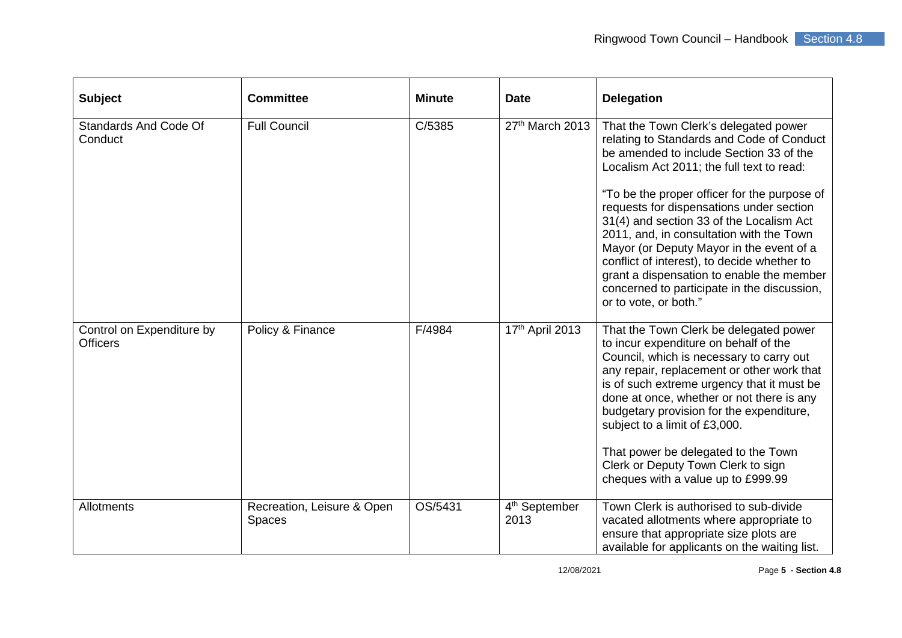| <b>Subject</b>                               | <b>Committee</b>                            | <b>Minute</b> | <b>Date</b>                       | <b>Delegation</b>                                                                                                                                                                                                                                                                                                                                                                                                                                                                                                                                                              |
|----------------------------------------------|---------------------------------------------|---------------|-----------------------------------|--------------------------------------------------------------------------------------------------------------------------------------------------------------------------------------------------------------------------------------------------------------------------------------------------------------------------------------------------------------------------------------------------------------------------------------------------------------------------------------------------------------------------------------------------------------------------------|
| <b>Standards And Code Of</b><br>Conduct      | <b>Full Council</b>                         | C/5385        | 27th March 2013                   | That the Town Clerk's delegated power<br>relating to Standards and Code of Conduct<br>be amended to include Section 33 of the<br>Localism Act 2011; the full text to read:<br>"To be the proper officer for the purpose of<br>requests for dispensations under section<br>31(4) and section 33 of the Localism Act<br>2011, and, in consultation with the Town<br>Mayor (or Deputy Mayor in the event of a<br>conflict of interest), to decide whether to<br>grant a dispensation to enable the member<br>concerned to participate in the discussion,<br>or to vote, or both." |
| Control on Expenditure by<br><b>Officers</b> | Policy & Finance                            | F/4984        | 17th April 2013                   | That the Town Clerk be delegated power<br>to incur expenditure on behalf of the<br>Council, which is necessary to carry out<br>any repair, replacement or other work that<br>is of such extreme urgency that it must be<br>done at once, whether or not there is any<br>budgetary provision for the expenditure,<br>subject to a limit of £3,000.<br>That power be delegated to the Town<br>Clerk or Deputy Town Clerk to sign<br>cheques with a value up to £999.99                                                                                                           |
| <b>Allotments</b>                            | Recreation, Leisure & Open<br><b>Spaces</b> | OS/5431       | 4 <sup>th</sup> September<br>2013 | Town Clerk is authorised to sub-divide<br>vacated allotments where appropriate to<br>ensure that appropriate size plots are<br>available for applicants on the waiting list.                                                                                                                                                                                                                                                                                                                                                                                                   |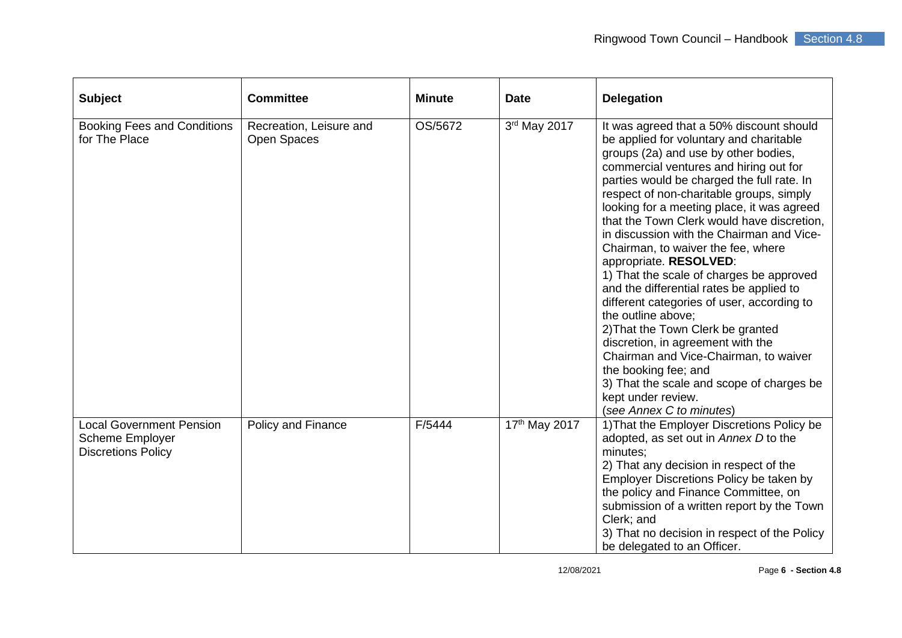| <b>Subject</b>                                                                  | <b>Committee</b>                       | <b>Minute</b> | <b>Date</b>   | <b>Delegation</b>                                                                                                                                                                                                                                                                                                                                                                                                                                                                                                                                                                                                                                                                                                                                                                                                                                                              |
|---------------------------------------------------------------------------------|----------------------------------------|---------------|---------------|--------------------------------------------------------------------------------------------------------------------------------------------------------------------------------------------------------------------------------------------------------------------------------------------------------------------------------------------------------------------------------------------------------------------------------------------------------------------------------------------------------------------------------------------------------------------------------------------------------------------------------------------------------------------------------------------------------------------------------------------------------------------------------------------------------------------------------------------------------------------------------|
| <b>Booking Fees and Conditions</b><br>for The Place                             | Recreation, Leisure and<br>Open Spaces | OS/5672       | 3rd May 2017  | It was agreed that a 50% discount should<br>be applied for voluntary and charitable<br>groups (2a) and use by other bodies,<br>commercial ventures and hiring out for<br>parties would be charged the full rate. In<br>respect of non-charitable groups, simply<br>looking for a meeting place, it was agreed<br>that the Town Clerk would have discretion,<br>in discussion with the Chairman and Vice-<br>Chairman, to waiver the fee, where<br>appropriate. RESOLVED:<br>1) That the scale of charges be approved<br>and the differential rates be applied to<br>different categories of user, according to<br>the outline above:<br>2) That the Town Clerk be granted<br>discretion, in agreement with the<br>Chairman and Vice-Chairman, to waiver<br>the booking fee; and<br>3) That the scale and scope of charges be<br>kept under review.<br>(see Annex C to minutes) |
| <b>Local Government Pension</b><br>Scheme Employer<br><b>Discretions Policy</b> | <b>Policy and Finance</b>              | F/5444        | 17th May 2017 | 1) That the Employer Discretions Policy be<br>adopted, as set out in Annex D to the<br>minutes;<br>2) That any decision in respect of the<br>Employer Discretions Policy be taken by<br>the policy and Finance Committee, on<br>submission of a written report by the Town<br>Clerk; and<br>3) That no decision in respect of the Policy<br>be delegated to an Officer.                                                                                                                                                                                                                                                                                                                                                                                                                                                                                                        |